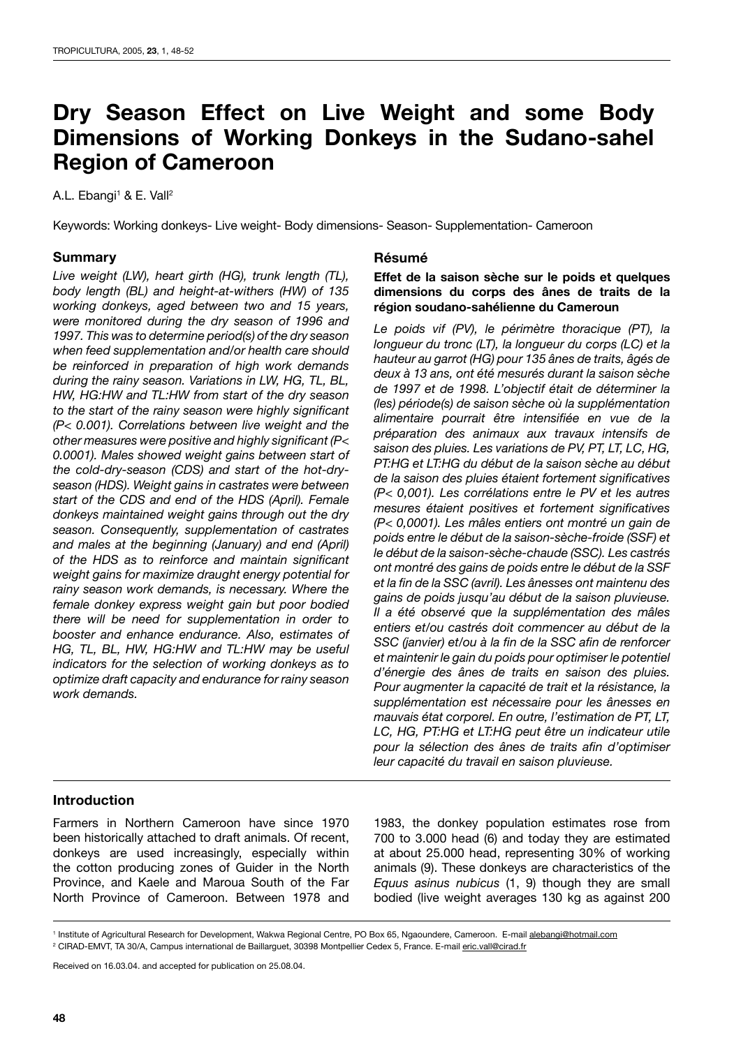# **Dry Season Effect on Live Weight and some Body Dimensions of Working Donkeys in the Sudano-sahel Region of Cameroon**

#### A.L. Ebangi<sup>1</sup> & E. Vall<sup>2</sup>

Keywords: Working donkeys- Live weight- Body dimensions- Season- Supplementation- Cameroon

#### **Summary**

*Live weight (LW), heart girth (HG), trunk length (TL), body length (BL) and height-at-withers (HW) of 135 working donkeys, aged between two and 15 years, were monitored during the dry season of 1996 and 1997. This was to determine period(s) of the dry season when feed supplementation and/or health care should be reinforced in preparation of high work demands during the rainy season. Variations in LW, HG, TL, BL, HW, HG:HW and TL:HW from start of the dry season to the start of the rainy season were highly significant (P< 0.001). Correlations between live weight and the other measures were positive and highly significant (P< 0.0001). Males showed weight gains between start of the cold-dry-season (CDS) and start of the hot-dryseason (HDS). Weight gains in castrates were between start of the CDS and end of the HDS (April). Female donkeys maintained weight gains through out the dry season. Consequently, supplementation of castrates and males at the beginning (January) and end (April) of the HDS as to reinforce and maintain significant weight gains for maximize draught energy potential for rainy season work demands, is necessary. Where the female donkey express weight gain but poor bodied there will be need for supplementation in order to booster and enhance endurance. Also, estimates of HG, TL, BL, HW, HG:HW and TL:HW may be useful indicators for the selection of working donkeys as to optimize draft capacity and endurance for rainy season work demands.* 

#### **Résumé**

#### **Effet de la saison sèche sur le poids et quelques dimensions du corps des ânes de traits de la région soudano-sahélienne du Cameroun**

*Le poids vif (PV), le périmètre thoracique (PT), la longueur du tronc (LT), la longueur du corps (LC) et la hauteur au garrot (HG) pour 135 ânes de traits, âgés de deux à 13 ans, ont été mesurés durant la saison sèche de 1997 et de 1998. L'objectif était de déterminer la (les) période(s) de saison sèche où la supplémentation alimentaire pourrait être intensifiée en vue de la préparation des animaux aux travaux intensifs de saison des pluies. Les variations de PV, PT, LT, LC, HG, PT:HG et LT:HG du début de la saison sèche au début de la saison des pluies étaient fortement significatives (P< 0,001). Les corrélations entre le PV et les autres mesures étaient positives et fortement significatives (P< 0,0001). Les mâles entiers ont montré un gain de poids entre le début de la saison-sèche-froide (SSF) et le début de la saison-sèche-chaude (SSC). Les castrés ont montré des gains de poids entre le début de la SSF et la fin de la SSC (avril). Les ânesses ont maintenu des gains de poids jusqu'au début de la saison pluvieuse. Il a été observé que la supplémentation des mâles entiers et/ou castrés doit commencer au début de la SSC (janvier) et/ou à la fin de la SSC afin de renforcer et maintenir le gain du poids pour optimiser le potentiel d'énergie des ânes de traits en saison des pluies. Pour augmenter la capacité de trait et la résistance, la supplémentation est nécessaire pour les ânesses en mauvais état corporel. En outre, l'estimation de PT, LT, LC, HG, PT:HG et LT:HG peut être un indicateur utile pour la sélection des ânes de traits afin d'optimiser leur capacité du travail en saison pluvieuse.*

## **Introduction**

Farmers in Northern Cameroon have since 1970 been historically attached to draft animals. Of recent, donkeys are used increasingly, especially within the cotton producing zones of Guider in the North Province, and Kaele and Maroua South of the Far North Province of Cameroon. Between 1978 and

1983, the donkey population estimates rose from 700 to 3.000 head (6) and today they are estimated at about 25.000 head, representing 30% of working animals (9). These donkeys are characteristics of the *Equus asinus nubicus* (1, 9) though they are small bodied (live weight averages 130 kg as against 200

Received on 16.03.04. and accepted for publication on 25.08.04.

<sup>&</sup>lt;sup>1</sup> Institute of Agricultural Research for Development, Wakwa Regional Centre, PO Box 65, Ngaoundere, Cameroon. E-mail alebangi@hotmail.com <sup>2</sup> CIRAD-EMVT, TA 30/A, Campus international de Baillarguet, 30398 Montpellier Cedex 5, France. E-mail <u>eric.vall@cirad.fr</u>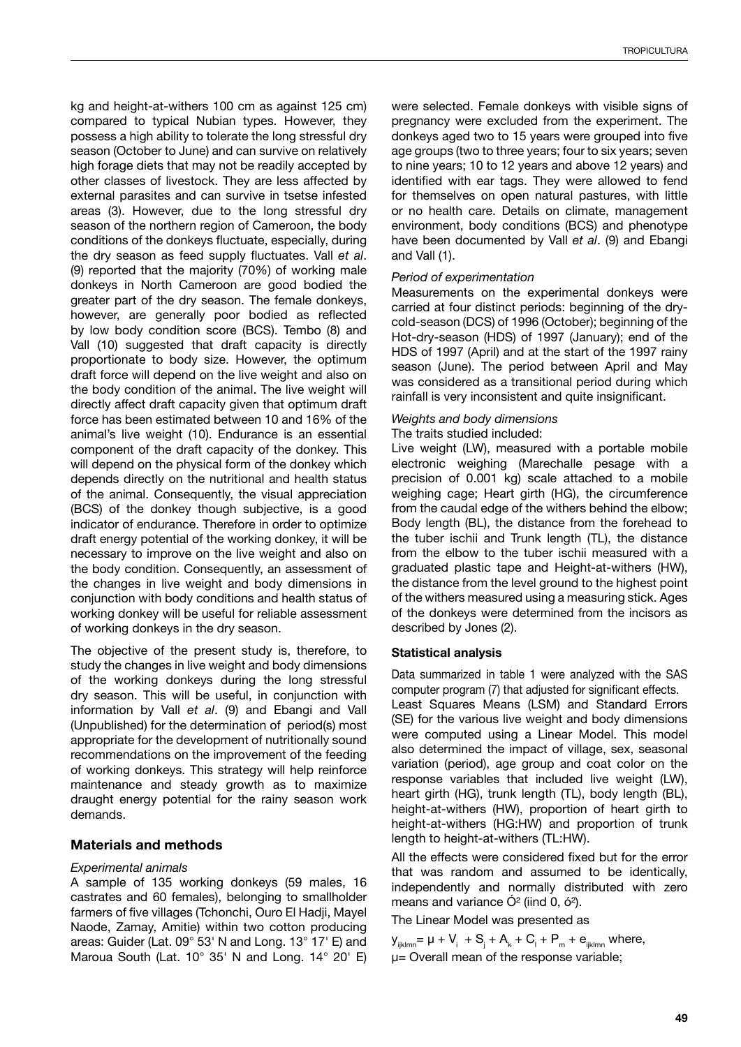kg and height-at-withers 100 cm as against 125 cm) compared to typical Nubian types. However, they possess a high ability to tolerate the long stressful dry season (October to June) and can survive on relatively high forage diets that may not be readily accepted by other classes of livestock. They are less affected by external parasites and can survive in tsetse infested areas (3). However, due to the long stressful dry season of the northern region of Cameroon, the body conditions of the donkeys fluctuate, especially, during the dry season as feed supply fluctuates. Vall *et al*. (9) reported that the majority (70%) of working male donkeys in North Cameroon are good bodied the greater part of the dry season. The female donkeys, however, are generally poor bodied as reflected by low body condition score (BCS). Tembo (8) and Vall (10) suggested that draft capacity is directly proportionate to body size. However, the optimum draft force will depend on the live weight and also on the body condition of the animal. The live weight will directly affect draft capacity given that optimum draft force has been estimated between 10 and 16% of the animal's live weight (10). Endurance is an essential component of the draft capacity of the donkey. This will depend on the physical form of the donkey which depends directly on the nutritional and health status of the animal. Consequently, the visual appreciation (BCS) of the donkey though subjective, is a good indicator of endurance. Therefore in order to optimize draft energy potential of the working donkey, it will be necessary to improve on the live weight and also on the body condition. Consequently, an assessment of the changes in live weight and body dimensions in conjunction with body conditions and health status of working donkey will be useful for reliable assessment of working donkeys in the dry season.

The objective of the present study is, therefore, to study the changes in live weight and body dimensions of the working donkeys during the long stressful dry season. This will be useful, in conjunction with information by Vall *et al*. (9) and Ebangi and Vall (Unpublished) for the determination of period(s) most appropriate for the development of nutritionally sound recommendations on the improvement of the feeding of working donkeys. This strategy will help reinforce maintenance and steady growth as to maximize draught energy potential for the rainy season work demands.

## **Materials and methods**

## *Experimental animals*

A sample of 135 working donkeys (59 males, 16 castrates and 60 females), belonging to smallholder farmers of five villages (Tchonchi, Ouro El Hadji, Mayel Naode, Zamay, Amitie) within two cotton producing areas: Guider (Lat. 09° 53' N and Long. 13° 17' E) and Maroua South (Lat. 10° 35' N and Long. 14° 20' E) were selected. Female donkeys with visible signs of pregnancy were excluded from the experiment. The donkeys aged two to 15 years were grouped into five age groups (two to three years; four to six years; seven to nine years; 10 to 12 years and above 12 years) and identified with ear tags. They were allowed to fend for themselves on open natural pastures, with little or no health care. Details on climate, management environment, body conditions (BCS) and phenotype have been documented by Vall *et al*. (9) and Ebangi and Vall (1).

## *Period of experimentation*

Measurements on the experimental donkeys were carried at four distinct periods: beginning of the drycold-season (DCS) of 1996 (October); beginning of the Hot-dry-season (HDS) of 1997 (January); end of the HDS of 1997 (April) and at the start of the 1997 rainy season (June). The period between April and May was considered as a transitional period during which rainfall is very inconsistent and quite insignificant.

# *Weights and body dimensions*

#### The traits studied included:

Live weight (LW), measured with a portable mobile electronic weighing (Marechalle pesage with a precision of 0.001 kg) scale attached to a mobile weighing cage; Heart girth (HG), the circumference from the caudal edge of the withers behind the elbow; Body length (BL), the distance from the forehead to the tuber ischii and Trunk length (TL), the distance from the elbow to the tuber ischii measured with a graduated plastic tape and Height-at-withers (HW), the distance from the level ground to the highest point of the withers measured using a measuring stick. Ages of the donkeys were determined from the incisors as described by Jones (2).

## **Statistical analysis**

Data summarized in table 1 were analyzed with the SAS computer program (7) that adjusted for significant effects. Least Squares Means (LSM) and Standard Errors (SE) for the various live weight and body dimensions were computed using a Linear Model. This model also determined the impact of village, sex, seasonal variation (period), age group and coat color on the response variables that included live weight (LW), heart girth (HG), trunk length (TL), body length (BL), height-at-withers (HW), proportion of heart girth to height-at-withers (HG:HW) and proportion of trunk length to height-at-withers (TL:HW).

All the effects were considered fixed but for the error that was random and assumed to be identically, independently and normally distributed with zero means and variance  $\dot{O}^2$  (iind 0,  $\dot{O}^2$ ).

The Linear Model was presented as

 $y_{ijklmn} = \mu + V_i + S_j + A_k + C_l + P_m + e_{ijklmn}$  where, µ= Overall mean of the response variable;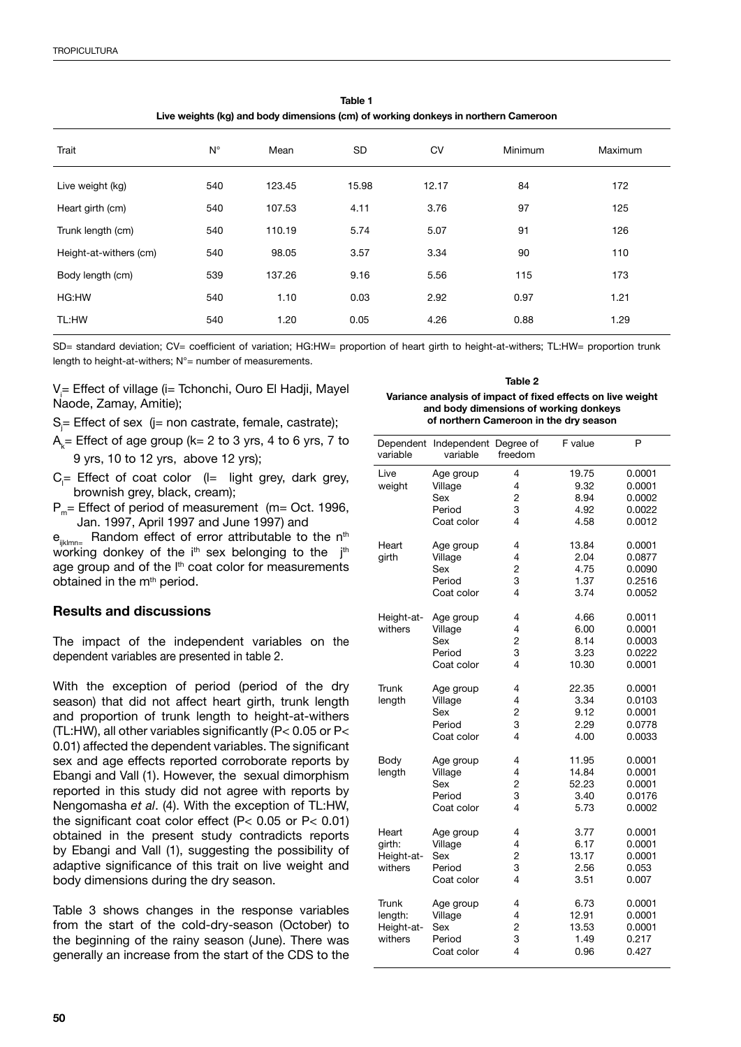| Trait                  | $N^{\circ}$ | Mean   | <b>SD</b> | <b>CV</b> | Minimum | Maximum |  |  |
|------------------------|-------------|--------|-----------|-----------|---------|---------|--|--|
| Live weight (kg)       | 540         | 123.45 | 15.98     | 12.17     | 84      | 172     |  |  |
| Heart girth (cm)       | 540         | 107.53 | 4.11      | 3.76      | 97      | 125     |  |  |
| Trunk length (cm)      | 540         | 110.19 | 5.74      | 5.07      | 91      | 126     |  |  |
| Height-at-withers (cm) | 540         | 98.05  | 3.57      | 3.34      | 90      | 110     |  |  |
| Body length (cm)       | 539         | 137.26 | 9.16      | 5.56      | 115     | 173     |  |  |
| HG:HW                  | 540         | 1.10   | 0.03      | 2.92      | 0.97    | 1.21    |  |  |
| TL:HW                  | 540         | 1.20   | 0.05      | 4.26      | 0.88    | 1.29    |  |  |

**Table 1 Live weights (kg) and body dimensions (cm) of working donkeys in northern Cameroon**

SD= standard deviation; CV= coefficient of variation; HG:HW= proportion of heart girth to height-at-withers; TL:HW= proportion trunk length to height-at-withers; N°= number of measurements.

V<sub>i</sub>= Effect of village (i= Tchonchi, Ouro El Hadji, Mayel Naode, Zamay, Amitie);

S<sub>j</sub>= Effect of sex (j= non castrate, female, castrate);

- $\mathsf{A}_{\mathsf{k}}$ = Effect of age group (k= 2 to 3 yrs, 4 to 6 yrs, 7 to 9 yrs, 10 to 12 yrs, above 12 yrs);
- $C_{\parallel}$  Effect of coat color ( $\parallel$  light grey, dark grey, brownish grey, black, cream);
- $P_m$ = Effect of period of measurement (m= Oct. 1996, Jan. 1997, April 1997 and June 1997) and

 $e_{iiklmn}$  Random effect of error attributable to the n<sup>th</sup> working donkey of the  $i<sup>th</sup>$  sex belonging to the  $j<sup>th</sup>$ age group and of the l<sup>th</sup> coat color for measurements obtained in the m<sup>th</sup> period.

# **Results and discussions**

The impact of the independent variables on the dependent variables are presented in table 2.

With the exception of period (period of the dry season) that did not affect heart girth, trunk length and proportion of trunk length to height-at-withers (TL:HW), all other variables significantly (P< 0.05 or P< 0.01) affected the dependent variables. The significant sex and age effects reported corroborate reports by Ebangi and Vall (1). However, the sexual dimorphism reported in this study did not agree with reports by Nengomasha *et al*. (4). With the exception of TL:HW, the significant coat color effect (P< 0.05 or P< 0.01) obtained in the present study contradicts reports by Ebangi and Vall (1), suggesting the possibility of adaptive significance of this trait on live weight and body dimensions during the dry season.

Table 3 shows changes in the response variables from the start of the cold-dry-season (October) to the beginning of the rainy season (June). There was generally an increase from the start of the CDS to the

#### **Table 2**

#### **Variance analysis of impact of fixed effects on live weight and body dimensions of working donkeys of northern Cameroon in the dry season**

| Dependent<br>variable | Independent Degree of<br>variable | freedom        | F value | P      |
|-----------------------|-----------------------------------|----------------|---------|--------|
| Live                  | Age group                         | 4              | 19.75   | 0.0001 |
| weight                | Village                           | 4              | 9.32    | 0.0001 |
|                       | Sex                               | 2              | 8.94    | 0.0002 |
|                       | Period                            | 3              | 4.92    | 0.0022 |
|                       | Coat color                        | 4              | 4.58    | 0.0012 |
| Heart                 | Age group                         | 4              | 13.84   | 0.0001 |
| girth                 | Village                           | 4              | 2.04    | 0.0877 |
|                       | Sex                               | 2              | 4.75    | 0.0090 |
|                       | Period                            | 3              | 1.37    | 0.2516 |
|                       | Coat color                        | 4              | 3.74    | 0.0052 |
| Height-at-            | Age group                         | 4              | 4.66    | 0.0011 |
| withers               | Village                           | 4              | 6.00    | 0.0001 |
|                       | Sex                               | 2              | 8.14    | 0.0003 |
|                       | Period                            | 3              | 3.23    | 0.0222 |
|                       | Coat color                        | 4              | 10.30   | 0.0001 |
| Trunk                 | Age group                         | 4              | 22.35   | 0.0001 |
| length                | Village                           | 4              | 3.34    | 0.0103 |
|                       | Sex                               | 2              | 9.12    | 0.0001 |
|                       | Period                            | 3              | 2.29    | 0.0778 |
|                       | Coat color                        | 4              | 4.00    | 0.0033 |
| Body                  | Age group                         | 4              | 11.95   | 0.0001 |
| length                | Village                           | 4              | 14.84   | 0.0001 |
|                       | Sex                               | 2              | 52.23   | 0.0001 |
|                       | Period                            | 3              | 3.40    | 0.0176 |
|                       | Coat color                        | 4              | 5.73    | 0.0002 |
| Heart                 | Age group                         | 4              | 3.77    | 0.0001 |
| girth:                | Village                           | 4              | 6.17    | 0.0001 |
| Height-at-            | Sex                               | $\overline{c}$ | 13.17   | 0.0001 |
| withers               | Period                            | 3              | 2.56    | 0.053  |
|                       | Coat color                        | 4              | 3.51    | 0.007  |
| Trunk                 | Age group                         | 4              | 6.73    | 0.0001 |
| length:               | Village                           | 4              | 12.91   | 0.0001 |
| Height-at-            | Sex                               | 2              | 13.53   | 0.0001 |
| withers               | Period                            | 3              | 1.49    | 0.217  |
|                       | Coat color                        | 4              | 0.96    | 0.427  |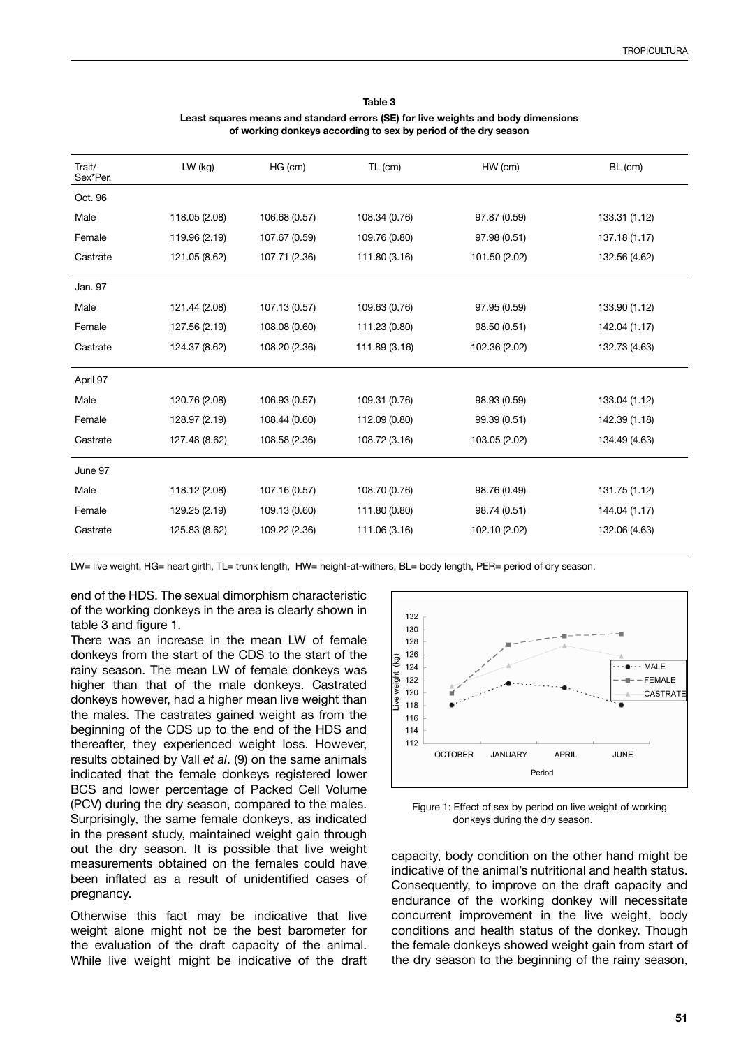#### **Table 3 Least squares means and standard errors (SE) for live weights and body dimensions of working donkeys according to sex by period of the dry season**

| Trait/<br>Sex*Per. | LW (kg)       | HG (cm)       | TL (cm)       | HW (cm)       | BL (cm)       |
|--------------------|---------------|---------------|---------------|---------------|---------------|
| Oct. 96            |               |               |               |               |               |
| Male               | 118.05 (2.08) | 106.68 (0.57) | 108.34 (0.76) | 97.87 (0.59)  | 133.31 (1.12) |
| Female             | 119.96 (2.19) | 107.67 (0.59) | 109.76 (0.80) | 97.98 (0.51)  | 137.18 (1.17) |
| Castrate           | 121.05 (8.62) | 107.71 (2.36) | 111.80 (3.16) | 101.50 (2.02) | 132.56 (4.62) |
| Jan. 97            |               |               |               |               |               |
| Male               | 121.44 (2.08) | 107.13 (0.57) | 109.63 (0.76) | 97.95 (0.59)  | 133.90 (1.12) |
| Female             | 127.56 (2.19) | 108.08 (0.60) | 111.23 (0.80) | 98.50 (0.51)  | 142.04 (1.17) |
| Castrate           | 124.37 (8.62) | 108.20 (2.36) | 111.89 (3.16) | 102.36 (2.02) | 132.73 (4.63) |
| April 97           |               |               |               |               |               |
| Male               | 120.76 (2.08) | 106.93 (0.57) | 109.31 (0.76) | 98.93 (0.59)  | 133.04 (1.12) |
| Female             | 128.97 (2.19) | 108.44 (0.60) | 112.09 (0.80) | 99.39 (0.51)  | 142.39 (1.18) |
| Castrate           | 127.48 (8.62) | 108.58 (2.36) | 108.72 (3.16) | 103.05 (2.02) | 134.49 (4.63) |
| June 97            |               |               |               |               |               |
| Male               | 118.12 (2.08) | 107.16 (0.57) | 108.70 (0.76) | 98.76 (0.49)  | 131.75 (1.12) |
| Female             | 129.25 (2.19) | 109.13 (0.60) | 111.80 (0.80) | 98.74 (0.51)  | 144.04 (1.17) |
| Castrate           | 125.83 (8.62) | 109.22 (2.36) | 111.06 (3.16) | 102.10 (2.02) | 132.06 (4.63) |

LW= live weight, HG= heart girth, TL= trunk length, HW= height-at-withers, BL= body length, PER= period of dry season.

end of the HDS. The sexual dimorphism characteristic of the working donkeys in the area is clearly shown in table 3 and figure 1.

There was an increase in the mean LW of female donkeys from the start of the CDS to the start of the rainy season. The mean LW of female donkeys was higher than that of the male donkeys. Castrated donkeys however, had a higher mean live weight than the males. The castrates gained weight as from the beginning of the CDS up to the end of the HDS and thereafter, they experienced weight loss. However, results obtained by Vall *et al*. (9) on the same animals indicated that the female donkeys registered lower BCS and lower percentage of Packed Cell Volume (PCV) during the dry season, compared to the males. Surprisingly, the same female donkeys, as indicated in the present study, maintained weight gain through out the dry season. It is possible that live weight measurements obtained on the females could have been inflated as a result of unidentified cases of pregnancy.

Otherwise this fact may be indicative that live weight alone might not be the best barometer for the evaluation of the draft capacity of the animal. While live weight might be indicative of the draft



Figure 1: Effect of sex by period on live weight of working donkeys during the dry season.

capacity, body condition on the other hand might be indicative of the animal's nutritional and health status. Consequently, to improve on the draft capacity and endurance of the working donkey will necessitate concurrent improvement in the live weight, body conditions and health status of the donkey. Though the female donkeys showed weight gain from start of the dry season to the beginning of the rainy season,